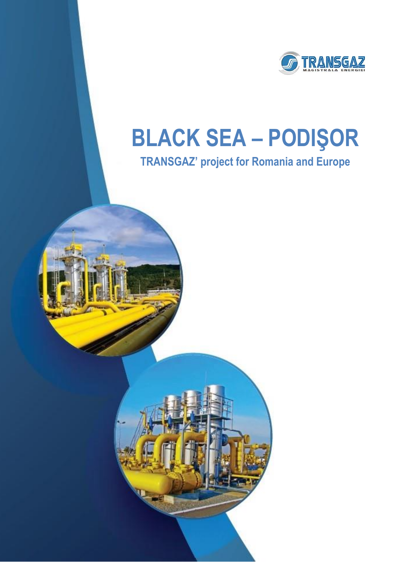

## **BLACK SEA – PODIŞOR**

## **TRANSGAZ' project for Romania and Europe**



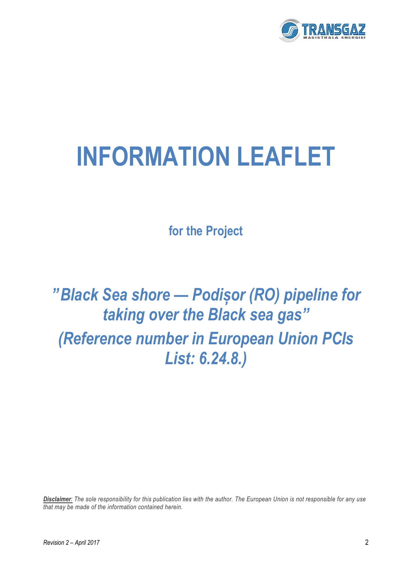

# **INFORMATION LEAFLET**

**for the Project**

*"Black Sea shore — Podișor (RO) pipeline for taking over the Black sea gas" (Reference number in European Union PCIs List: 6.24.8.)*

*Disclaimer: The sole responsibility for this publication lies with the author. The European Union is not responsible for any use that may be made of the information contained herein.*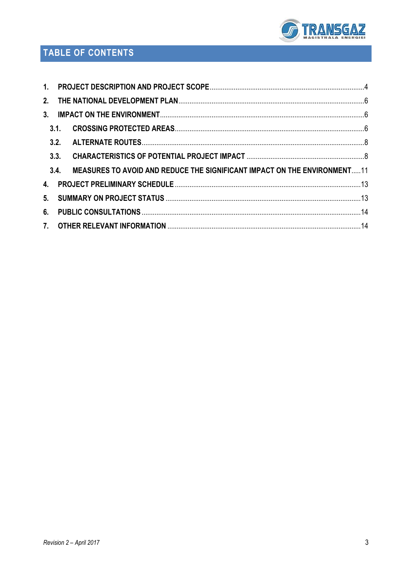

## TABLE OF CONTENTS

| 3.1. |                                                                          |  |
|------|--------------------------------------------------------------------------|--|
|      |                                                                          |  |
|      |                                                                          |  |
| 3.4. | MEASURES TO AVOID AND REDUCE THE SIGNIFICANT IMPACT ON THE ENVIRONMENT11 |  |
|      |                                                                          |  |
|      |                                                                          |  |
|      |                                                                          |  |
|      |                                                                          |  |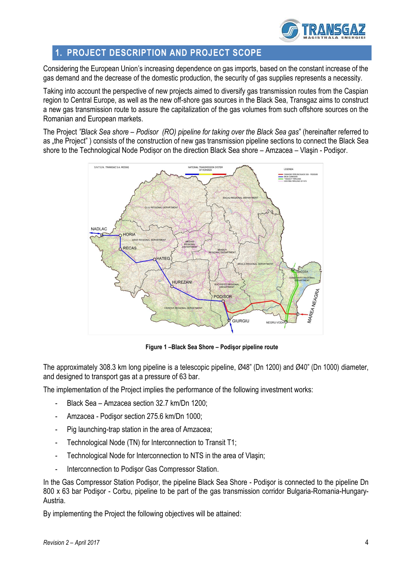

## <span id="page-3-0"></span>**1. PROJECT DESCRIPTION AND PROJECT SCOPE**

Considering the European Union's increasing dependence on gas imports, based on the constant increase of the gas demand and the decrease of the domestic production, the security of gas supplies represents a necessity.

Taking into account the perspective of new projects aimed to diversify gas transmission routes from the Caspian region to Central Europe, as well as the new off-shore gas sources in the Black Sea, Transgaz aims to construct a new gas transmission route to assure the capitalization of the gas volumes from such offshore sources on the Romanian and European markets.

The Project *"Black Sea shore – Podisor (RO) pipeline for taking over the Black Sea gas*" (hereinafter referred to as "the Project") consists of the construction of new gas transmission pipeline sections to connect the Black Sea shore to the Technological Node Podișor on the direction Black Sea shore – Amzacea – Vlaşin - Podişor.



**Figure 1 –Black Sea Shore – Podişor pipeline route**

The approximately 308.3 km long pipeline is a telescopic pipeline, Ø48" (Dn 1200) and Ø40" (Dn 1000) diameter, and designed to transport gas at a pressure of 63 bar.

The implementation of the Project implies the performance of the following investment works:

- Black Sea Amzacea section 32.7 km/Dn 1200;
- Amzacea Podişor section 275.6 km/Dn 1000;
- Pig launching-trap station in the area of Amzacea;
- Technological Node (TN) for Interconnection to Transit T1;
- Technological Node for Interconnection to NTS in the area of Vlasin;
- Interconnection to Podisor Gas Compressor Station.

In the Gas Compressor Station Podișor, the pipeline Black Sea Shore - Podişor is connected to the pipeline Dn 800 x 63 bar Podişor - Corbu, pipeline to be part of the gas transmission corridor Bulgaria-Romania-Hungary-Austria.

By implementing the Project the following objectives will be attained: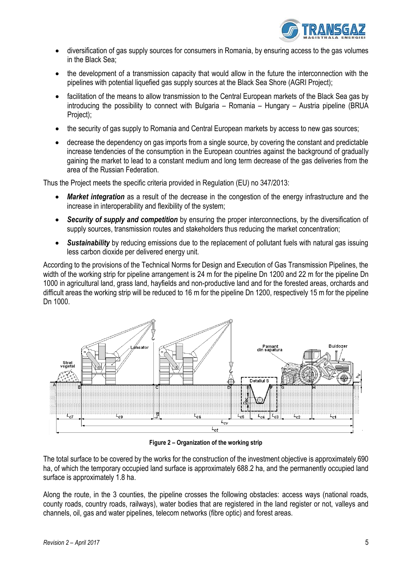

- diversification of gas supply sources for consumers in Romania, by ensuring access to the gas volumes in the Black Sea;
- the development of a transmission capacity that would allow in the future the interconnection with the pipelines with potential liquefied gas supply sources at the Black Sea Shore (AGRI Project);
- facilitation of the means to allow transmission to the Central European markets of the Black Sea gas by introducing the possibility to connect with Bulgaria – Romania – Hungary – Austria pipeline (BRUA Project);
- the security of gas supply to Romania and Central European markets by access to new gas sources;
- decrease the dependency on gas imports from a single source, by covering the constant and predictable increase tendencies of the consumption in the European countries against the background of gradually gaining the market to lead to a constant medium and long term decrease of the gas deliveries from the area of the Russian Federation.

Thus the Project meets the specific criteria provided in Regulation (EU) no 347/2013:

- *Market integration* as a result of the decrease in the congestion of the energy infrastructure and the increase in interoperability and flexibility of the system;
- *Security of supply and competition* by ensuring the proper interconnections, by the diversification of supply sources, transmission routes and stakeholders thus reducing the market concentration;
- *Sustainability* by reducing emissions due to the replacement of pollutant fuels with natural gas issuing less carbon dioxide per delivered energy unit.

According to the provisions of the Technical Norms for Design and Execution of Gas Transmission Pipelines, the width of the working strip for pipeline arrangement is 24 m for the pipeline Dn 1200 and 22 m for the pipeline Dn 1000 in agricultural land, grass land, hayfields and non-productive land and for the forested areas, orchards and difficult areas the working strip will be reduced to 16 m for the pipeline Dn 1200, respectively 15 m for the pipeline Dn 1000.



**Figure 2 – Organization of the working strip** 

The total surface to be covered by the works for the construction of the investment objective is approximately 690 ha, of which the temporary occupied land surface is approximately 688.2 ha, and the permanently occupied land surface is approximately 1.8 ha.

Along the route, in the 3 counties, the pipeline crosses the following obstacles: access ways (national roads, county roads, country roads, railways), water bodies that are registered in the land register or not, valleys and channels, oil, gas and water pipelines, telecom networks (fibre optic) and forest areas.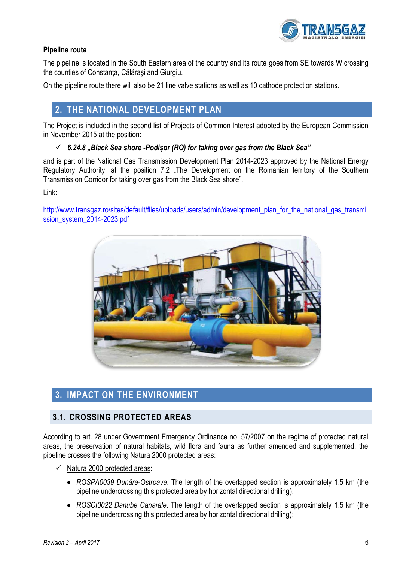

#### **Pipeline route**

The pipeline is located in the South Eastern area of the country and its route goes from SE towards W crossing the counties of Constanta, Călărași and Giurgiu.

<span id="page-5-0"></span>On the pipeline route there will also be 21 line valve stations as well as 10 cathode protection stations.

## **2. THE NATIONAL DEVELOPMENT PLAN**

The Project is included in the second list of Projects of Common Interest adopted by the European Commission in November 2015 at the position:

#### *6.24.8 "Black Sea shore -Podișor (RO) for taking over gas from the Black Sea"*

and is part of the National Gas Transmission Development Plan 2014-2023 approved by the National Energy Regulatory Authority, at the position 7.2 "The Development on the Romanian territory of the Southern Transmission Corridor for taking over gas from the Black Sea shore".

Link:

http://www.transgaz.ro/sites/default/files/uploads/users/admin/development\_plan\_for\_the\_national\_gas\_transmi ssion\_system\_2014-2023.pdf



## <span id="page-5-1"></span>**3. IMPACT ON THE ENVIRONMENT**

### <span id="page-5-2"></span>**3.1. CROSSING PROTECTED AREAS**

According to art. 28 under Government Emergency Ordinance no. 57/2007 on the regime of protected natural areas, the preservation of natural habitats, wild flora and fauna as further amended and supplemented, the pipeline crosses the following Natura 2000 protected areas:

- $\checkmark$  Natura 2000 protected areas:
	- *ROSPA0039 Dunăre-Ostroave*. The length of the overlapped section is approximately 1.5 km (the pipeline undercrossing this protected area by horizontal directional drilling);
	- *ROSCI0022 Danube Canarale*. The length of the overlapped section is approximately 1.5 km (the pipeline undercrossing this protected area by horizontal directional drilling);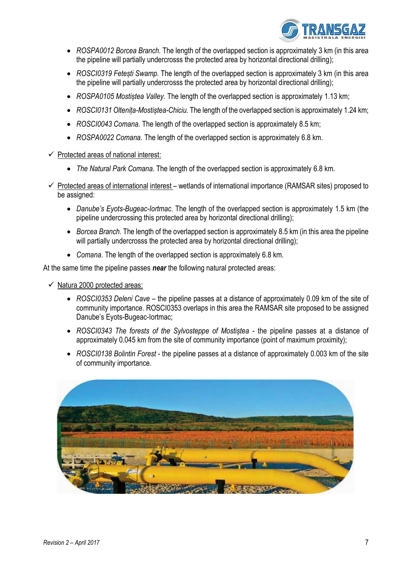

- *ROSPA0012 Borcea Branch.* The length of the overlapped section is approximately 3 km (in this area the pipeline will partially undercrosss the protected area by horizontal directional drilling);
- *ROSCI0319 Fetești Swamp.* The length of the overlapped section is approximately 3 km (in this area the pipeline will partially undercrosss the protected area by horizontal directional drilling);
- *ROSPA0105 Mostiștea Valley.* The length of the overlapped section is approximately 1.13 km;
- *ROSCI0131 Oltenița-Mostiștea-Chiciu.* The length of the overlapped section is approximately 1.24 km;
- *ROSCI0043 Comana.* The length of the overlapped section is approximately 8.5 km;
- *ROSPA0022 Comana*. The length of the overlapped section is approximately 6.8 km.
- $\checkmark$  Protected areas of national interest:
	- *The Natural Park Comana*. The length of the overlapped section is approximately 6.8 km.
- $\checkmark$  Protected areas of international interest wetlands of international importance (RAMSAR sites) proposed to be assigned:
	- *Danube's Eyots-Bugeac-Iortmac*. The length of the overlapped section is approximately 1.5 km (the pipeline undercrossing this protected area by horizontal directional drilling);
	- *Borcea Branch.* The length of the overlapped section is approximately 8.5 km (in this area the pipeline will partially undercrosss the protected area by horizontal directional drilling);
	- *Comana*. The length of the overlapped section is approximately 6.8 km.

At the same time the pipeline passes *near* the following natural protected areas:

 $\checkmark$  Natura 2000 protected areas:

- *ROSCI0353 Deleni Cave* the pipeline passes at a distance of approximately 0.09 km of the site of community importance. ROSCI0353 overlaps in this area the RAMSAR site proposed to be assigned Danube's Eyots-Bugeac-Iortmac;
- *ROSCI0343 The forests of the Sylvosteppe of Mostiștea* the pipeline passes at a distance of approximately 0.045 km from the site of community importance (point of maximum proximity);
- *ROSCI0138 Bolintin Forest* the pipeline passes at a distance of approximately 0.003 km of the site of community importance.

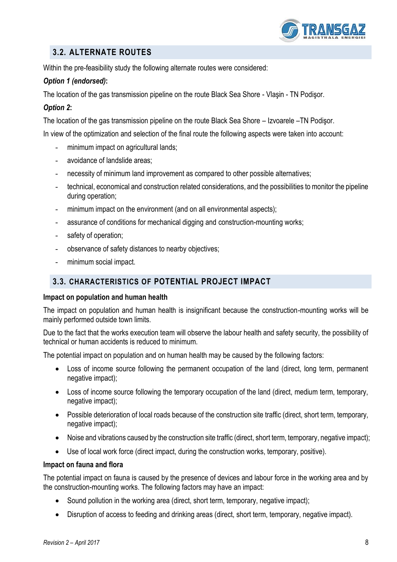

## <span id="page-7-0"></span>**3.2. ALTERNATE ROUTES**

Within the pre-feasibility study the following alternate routes were considered:

#### *Option 1 (endorsed)***:**

The location of the gas transmission pipeline on the route Black Sea Shore - Vlaşin - TN Podişor.

#### *Option 2***:**

The location of the gas transmission pipeline on the route Black Sea Shore – Izvoarele –TN Podişor.

In view of the optimization and selection of the final route the following aspects were taken into account:

- minimum impact on agricultural lands;
- avoidance of landslide areas;
- necessity of minimum land improvement as compared to other possible alternatives;
- technical, economical and construction related considerations, and the possibilities to monitor the pipeline during operation;
- minimum impact on the environment (and on all environmental aspects):
- assurance of conditions for mechanical digging and construction-mounting works;
- safety of operation;
- observance of safety distances to nearby objectives;
- minimum social impact.

### <span id="page-7-1"></span>**3.3. CHARACTERISTICS OF POTENTIAL PROJECT IMPACT**

#### **Impact on population and human health**

The impact on population and human health is insignificant because the construction-mounting works will be mainly performed outside town limits.

Due to the fact that the works execution team will observe the labour health and safety security, the possibility of technical or human accidents is reduced to minimum.

The potential impact on population and on human health may be caused by the following factors:

- Loss of income source following the permanent occupation of the land (direct, long term, permanent negative impact);
- Loss of income source following the temporary occupation of the land (direct, medium term, temporary, negative impact);
- Possible deterioration of local roads because of the construction site traffic (direct, short term, temporary, negative impact);
- Noise and vibrations caused by the construction site traffic (direct, short term, temporary, negative impact);
- Use of local work force (direct impact, during the construction works, temporary, positive).

#### **Impact on fauna and flora**

The potential impact on fauna is caused by the presence of devices and labour force in the working area and by the construction-mounting works. The following factors may have an impact:

- Sound pollution in the working area (direct, short term, temporary, negative impact);
- Disruption of access to feeding and drinking areas (direct, short term, temporary, negative impact).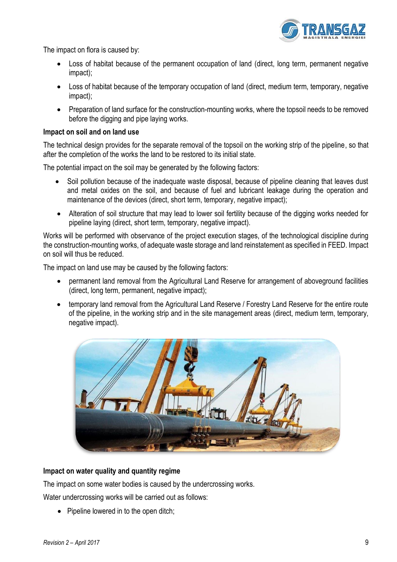

The impact on flora is caused by:

- Loss of habitat because of the permanent occupation of land (direct, long term, permanent negative impact);
- Loss of habitat because of the temporary occupation of land (direct, medium term, temporary, negative impact);
- Preparation of land surface for the construction-mounting works, where the topsoil needs to be removed before the digging and pipe laying works.

#### **Impact on soil and on land use**

The technical design provides for the separate removal of the topsoil on the working strip of the pipeline, so that after the completion of the works the land to be restored to its initial state.

The potential impact on the soil may be generated by the following factors:

- Soil pollution because of the inadequate waste disposal, because of pipeline cleaning that leaves dust and metal oxides on the soil, and because of fuel and lubricant leakage during the operation and maintenance of the devices (direct, short term, temporary, negative impact);
- Alteration of soil structure that may lead to lower soil fertility because of the digging works needed for pipeline laying (direct, short term, temporary, negative impact).

Works will be performed with observance of the project execution stages, of the technological discipline during the construction-mounting works, of adequate waste storage and land reinstatement as specified in FEED. Impact on soil will thus be reduced.

The impact on land use may be caused by the following factors:

- permanent land removal from the Agricultural Land Reserve for arrangement of aboveground facilities (direct, long term, permanent, negative impact);
- temporary land removal from the Agricultural Land Reserve / Forestry Land Reserve for the entire route of the pipeline, in the working strip and in the site management areas (direct, medium term, temporary, negative impact).



#### **Impact on water quality and quantity regime**

The impact on some water bodies is caused by the undercrossing works.

Water undercrossing works will be carried out as follows:

• Pipeline lowered in to the open ditch;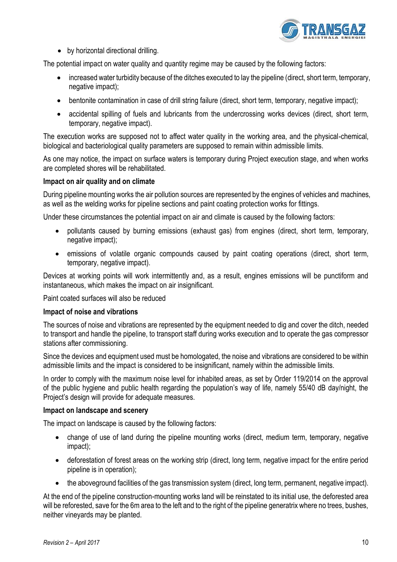

• by horizontal directional drilling.

The potential impact on water quality and quantity regime may be caused by the following factors:

- increased water turbidity because of the ditches executed to lay the pipeline (direct, short term, temporary, negative impact);
- bentonite contamination in case of drill string failure (direct, short term, temporary, negative impact);
- accidental spilling of fuels and lubricants from the undercrossing works devices (direct, short term, temporary, negative impact).

The execution works are supposed not to affect water quality in the working area, and the physical-chemical, biological and bacteriological quality parameters are supposed to remain within admissible limits.

As one may notice, the impact on surface waters is temporary during Project execution stage, and when works are completed shores will be rehabilitated.

#### **Impact on air quality and on climate**

During pipeline mounting works the air pollution sources are represented by the engines of vehicles and machines, as well as the welding works for pipeline sections and paint coating protection works for fittings.

Under these circumstances the potential impact on air and climate is caused by the following factors:

- pollutants caused by burning emissions (exhaust gas) from engines (direct, short term, temporary, negative impact);
- emissions of volatile organic compounds caused by paint coating operations (direct, short term, temporary, negative impact).

Devices at working points will work intermittently and, as a result, engines emissions will be punctiform and instantaneous, which makes the impact on air insignificant.

Paint coated surfaces will also be reduced

#### **Impact of noise and vibrations**

The sources of noise and vibrations are represented by the equipment needed to dig and cover the ditch, needed to transport and handle the pipeline, to transport staff during works execution and to operate the gas compressor stations after commissioning.

Since the devices and equipment used must be homologated, the noise and vibrations are considered to be within admissible limits and the impact is considered to be insignificant, namely within the admissible limits.

In order to comply with the maximum noise level for inhabited areas, as set by Order 119/2014 on the approval of the public hygiene and public health regarding the population's way of life, namely 55/40 dB day/night, the Project's design will provide for adequate measures.

#### **Impact on landscape and scenery**

The impact on landscape is caused by the following factors:

- change of use of land during the pipeline mounting works (direct, medium term, temporary, negative impact);
- deforestation of forest areas on the working strip (direct, long term, negative impact for the entire period pipeline is in operation);
- the aboveground facilities of the gas transmission system (direct, long term, permanent, negative impact).

At the end of the pipeline construction-mounting works land will be reinstated to its initial use, the deforested area will be reforested, save for the 6m area to the left and to the right of the pipeline generatrix where no trees, bushes, neither vineyards may be planted.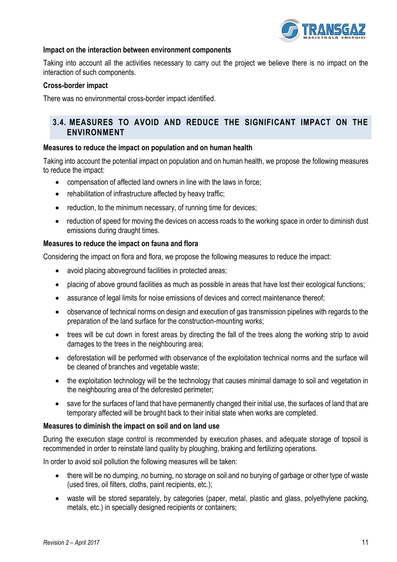

#### **Impact on the interaction between environment components**

Taking into account all the activities necessary to carry out the project we believe there is no impact on the interaction of such components.

#### **Cross-border impact**

There was no environmental cross-border impact identified.

#### <span id="page-10-0"></span>**3.4. MEASURES TO AVOID AND REDUCE THE SIGNIFICANT IMPACT ON THE ENVIRONMENT**

#### **Measures to reduce the impact on population and on human health**

Taking into account the potential impact on population and on human health, we propose the following measures to reduce the impact:

- compensation of affected land owners in line with the laws in force;
- rehabilitation of infrastructure affected by heavy traffic;
- reduction, to the minimum necessary, of running time for devices;
- reduction of speed for moving the devices on access roads to the working space in order to diminish dust emissions during draught times.

#### **Measures to reduce the impact on fauna and flora**

Considering the impact on flora and flora, we propose the following measures to reduce the impact:

- avoid placing aboveground facilities in protected areas;
- placing of above ground facilities as much as possible in areas that have lost their ecological functions;
- assurance of legal limits for noise emissions of devices and correct maintenance thereof;
- observance of technical norms on design and execution of gas transmission pipelines with regards to the preparation of the land surface for the construction-mounting works;
- trees will be cut down in forest areas by directing the fall of the trees along the working strip to avoid damages to the trees in the neighbouring area;
- deforestation will be performed with observance of the exploitation technical norms and the surface will be cleaned of branches and vegetable waste;
- the exploitation technology will be the technology that causes minimal damage to soil and vegetation in the neighbouring area of the deforested perimeter;
- save for the surfaces of land that have permanently changed their initial use, the surfaces of land that are temporary affected will be brought back to their initial state when works are completed.

#### **Measures to diminish the impact on soil and on land use**

During the execution stage control is recommended by execution phases, and adequate storage of topsoil is recommended in order to reinstate land quality by ploughing, braking and fertilizing operations.

In order to avoid soil pollution the following measures will be taken:

- there will be no dumping, no burning, no storage on soil and no burying of garbage or other type of waste (used tires, oil filters, cloths, paint recipients, etc.);
- waste will be stored separately, by categories (paper, metal, plastic and glass, polyethylene packing, metals, etc.) in specially designed recipients or containers;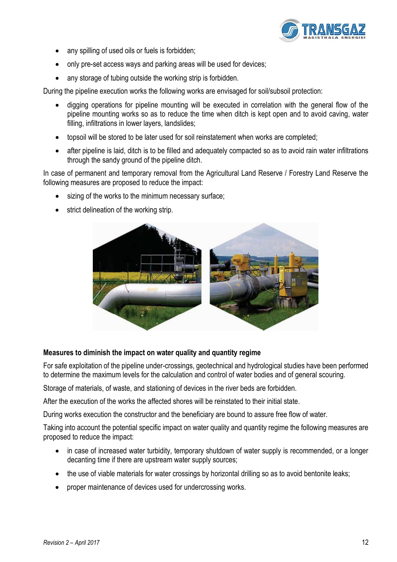

- any spilling of used oils or fuels is forbidden;
- only pre-set access ways and parking areas will be used for devices;
- any storage of tubing outside the working strip is forbidden.

During the pipeline execution works the following works are envisaged for soil/subsoil protection:

- digging operations for pipeline mounting will be executed in correlation with the general flow of the pipeline mounting works so as to reduce the time when ditch is kept open and to avoid caving, water filling, infiltrations in lower layers, landslides;
- topsoil will be stored to be later used for soil reinstatement when works are completed;
- after pipeline is laid, ditch is to be filled and adequately compacted so as to avoid rain water infiltrations through the sandy ground of the pipeline ditch.

In case of permanent and temporary removal from the Agricultural Land Reserve / Forestry Land Reserve the following measures are proposed to reduce the impact:

- sizing of the works to the minimum necessary surface;
- strict delineation of the working strip.



#### **Measures to diminish the impact on water quality and quantity regime**

For safe exploitation of the pipeline under-crossings, geotechnical and hydrological studies have been performed to determine the maximum levels for the calculation and control of water bodies and of general scouring.

Storage of materials, of waste, and stationing of devices in the river beds are forbidden.

After the execution of the works the affected shores will be reinstated to their initial state.

During works execution the constructor and the beneficiary are bound to assure free flow of water.

Taking into account the potential specific impact on water quality and quantity regime the following measures are proposed to reduce the impact:

- in case of increased water turbidity, temporary shutdown of water supply is recommended, or a longer decanting time if there are upstream water supply sources;
- the use of viable materials for water crossings by horizontal drilling so as to avoid bentonite leaks;
- proper maintenance of devices used for undercrossing works.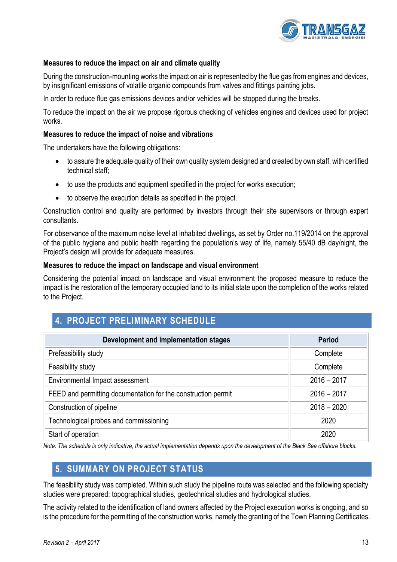

#### **Measures to reduce the impact on air and climate quality**

During the construction-mounting works the impact on air is represented by the flue gas from engines and devices, by insignificant emissions of volatile organic compounds from valves and fittings painting jobs.

In order to reduce flue gas emissions devices and/or vehicles will be stopped during the breaks.

To reduce the impact on the air we propose rigorous checking of vehicles engines and devices used for project works.

#### **Measures to reduce the impact of noise and vibrations**

The undertakers have the following obligations:

- to assure the adequate quality of their own quality system designed and created by own staff, with certified technical staff;
- to use the products and equipment specified in the project for works execution;
- to observe the execution details as specified in the project.

Construction control and quality are performed by investors through their site supervisors or through expert consultants.

For observance of the maximum noise level at inhabited dwellings, as set by Order no.119/2014 on the approval of the public hygiene and public health regarding the population's way of life, namely 55/40 dB day/night, the Project's design will provide for adequate measures.

#### **Measures to reduce the impact on landscape and visual environment**

Considering the potential impact on landscape and visual environment the proposed measure to reduce the impact is the restoration of the temporary occupied land to its initial state upon the completion of the works related to the Project.

## <span id="page-12-0"></span>**4. PROJECT PRELIMINARY SCHEDULE**

| Development and implementation stages                         | <b>Period</b> |
|---------------------------------------------------------------|---------------|
| Prefeasibility study                                          | Complete      |
| Feasibility study                                             | Complete      |
| Environmental Impact assessment                               | $2016 - 2017$ |
| FEED and permitting documentation for the construction permit | $2016 - 2017$ |
| Construction of pipeline                                      | $2018 - 2020$ |
| Technological probes and commissioning                        | 2020          |
| Start of operation                                            | 2020          |

<span id="page-12-1"></span>*Note: The schedule is only indicative, the actual implementation depends upon the development of the Black Sea offshore blocks.* 

## **5. SUMMARY ON PROJECT STATUS**

The feasibility study was completed. Within such study the pipeline route was selected and the following specialty studies were prepared: topographical studies, geotechnical studies and hydrological studies.

The activity related to the identification of land owners affected by the Project execution works is ongoing, and so is the procedure for the permitting of the construction works, namely the granting of the Town Planning Certificates.